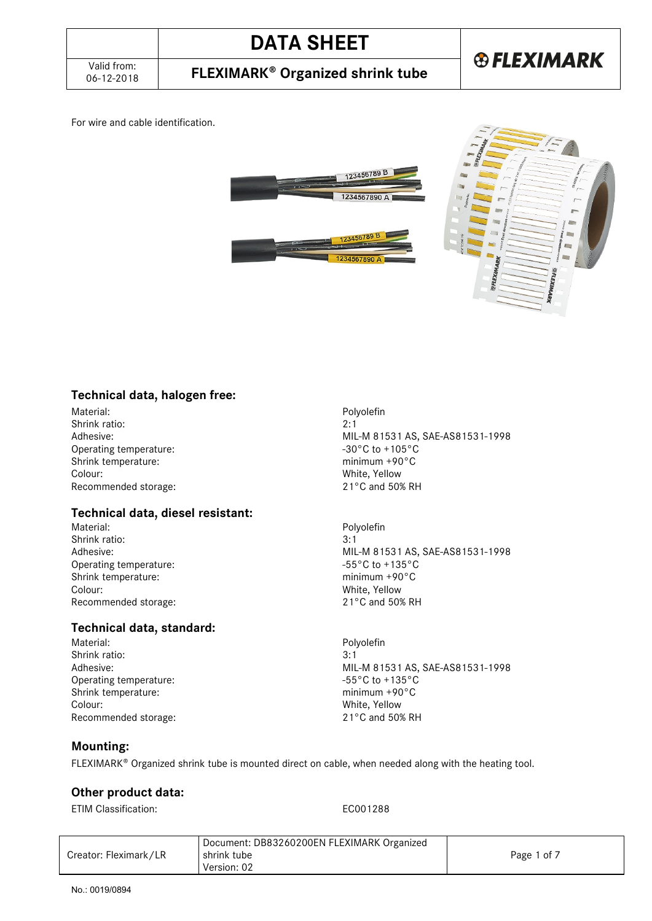06-12-2018 **FLEXIMARK Organized shrink tube**

For wire and cable identification.





### **Technical data, halogen free:**

Material: Polyolefin<br>
Shrink ratio: 2:1 Shrink ratio: Operating temperature:  $-30^{\circ}$ C to +105°C<br>Shrink temperature:  $\frac{30^{\circ}C}{20^{\circ}C}$ Shrink temperature:<br>Colour: Recommended storage:

#### **Technical data, diesel resistant:**

Material: Polyolefin Shrink ratio: 3:1 Operating temperature:  $-55^{\circ}$ C to +135°C Shrink temperature: minimum +90°C Colour: White, Yellow Recommended storage: 21°C and 50% RH

### **Technical data, standard:**

Shrink ratio: 3:1<br>Adhesive: 3:1<br>MIL Operating temperature:  $-55^{\circ}C$  to +135°C<br>Shrink temperature:  $\frac{135^{\circ}C}{1000}$ Shrink temperature: Colour: White, Yellow<br>Recommended storage:  $21^{\circ}$ C and 50% RH Recommended storage:

Adhesive:<br>
Operating temperature:<br>
Operating temperature:<br>  $-30^{\circ}$ C to +105°C White, Yellow<br>21°C and 50% RH

Adhesive: MIL-M 81531 AS, SAE-AS81531-1998

Polyolefin Adhesive: MIL-M 81531 AS, SAE-AS81531-1998

#### **Mounting:**

FLEXIMARK<sup>®</sup> Organized shrink tube is mounted direct on cable, when needed along with the heating tool.

#### **Other product data:**

ETIM Classification: EC001288

|                       | Document: DB83260200EN FLEXIMARK Organized |             |
|-----------------------|--------------------------------------------|-------------|
| Creator: Fleximark/LR | shrink tube                                | Page 1 of 7 |
|                       | Version: 02                                |             |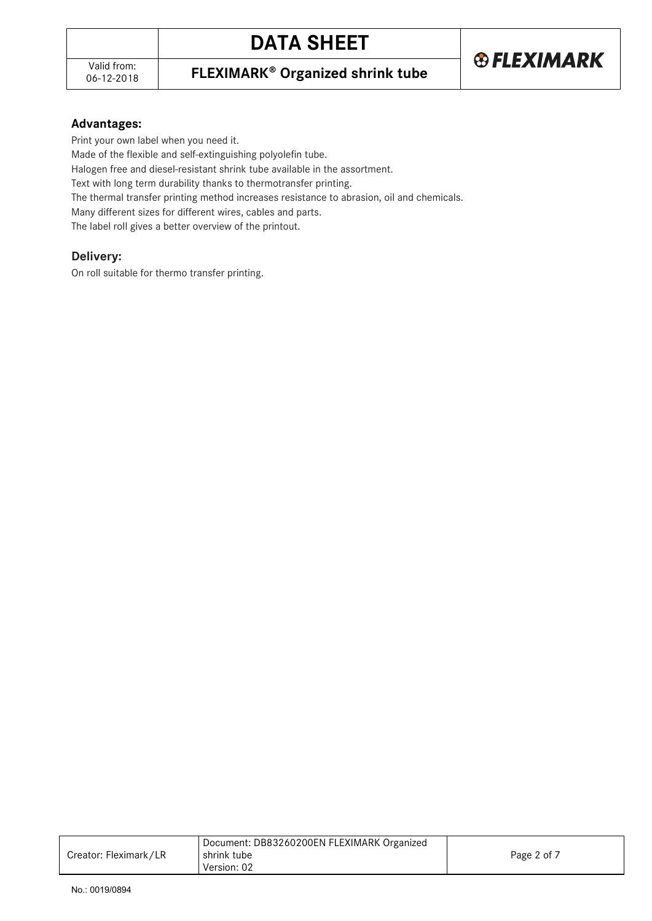### 06-12-2018 **FLEXIMARK Organized shrink tube**

#### **Advantages:**

Print your own label when you need it.

Made of the flexible and self-extinguishing polyolefin tube.

Halogen free and diesel-resistant shrink tube available in the assortment.

Text with long term durability thanks to thermotransfer printing.

The thermal transfer printing method increases resistance to abrasion, oil and chemicals.

Many different sizes for different wires, cables and parts.

The label roll gives a better overview of the printout.

### **Delivery:**

On roll suitable for thermo transfer printing.

|                       | Document: DB83260200EN FLEXIMARK Organized |             |
|-----------------------|--------------------------------------------|-------------|
| Creator: Fleximark/LR | shrink tube                                | Page 2 of 7 |
|                       | Version: 02                                |             |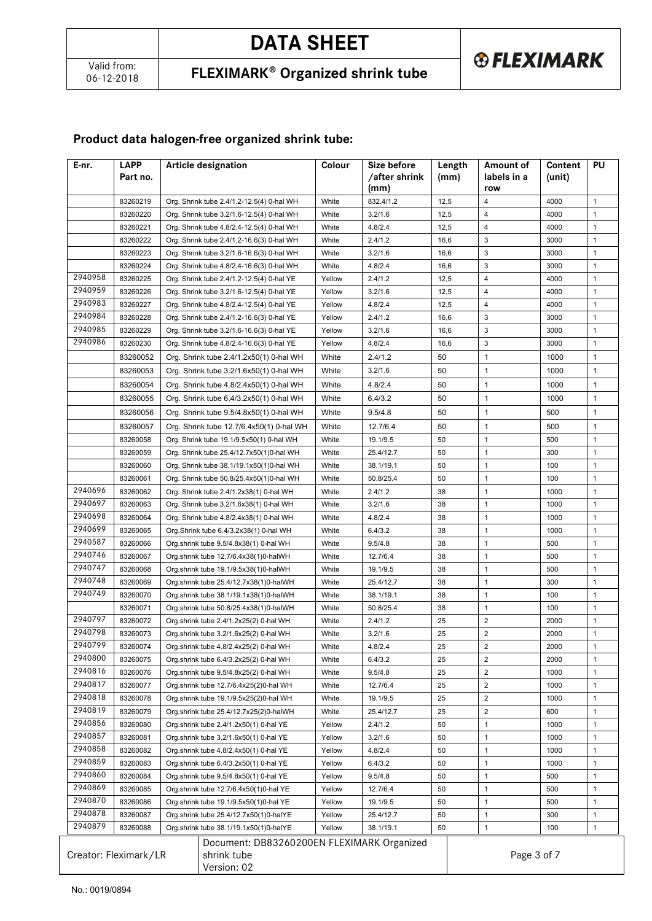**® FLEXIMARK** 

### 06-12-2018 **FLEXIMARK Organized shrink tube**

### **Product data halogen-free organized shrink tube:**

| E-nr.   | <b>LAPP</b><br>Part no. | <b>Article designation</b>                                               | Colour | Size before<br>after shrink/<br>(mm) | Length<br>(mm) | Amount of<br>labels in a<br>row | Content<br>(unit) | PU           |
|---------|-------------------------|--------------------------------------------------------------------------|--------|--------------------------------------|----------------|---------------------------------|-------------------|--------------|
|         | 83260219                | Org. Shrink tube 2.4/1.2-12.5(4) 0-hal WH                                | White  | 832.4/1.2                            | 12,5           | $\overline{4}$                  | 4000              | $\mathbf{1}$ |
|         | 83260220                | Org. Shrink tube 3.2/1.6-12.5(4) 0-hal WH                                | White  | 3.2/1.6                              | 12,5           | $\overline{4}$                  | 4000              | $\mathbf{1}$ |
|         | 83260221                | Org. Shrink tube 4.8/2.4-12.5(4) 0-hal WH                                | White  | 4.8/2.4                              | 12,5           | 4                               | 4000              | 1            |
|         | 83260222                | Org. Shrink tube 2.4/1.2-16.6(3) 0-hal WH                                | White  | 2.4/1.2                              | 16,6           | 3                               | 3000              | 1            |
|         | 83260223                | Org. Shrink tube 3.2/1.6-16.6(3) 0-hal WH                                | White  | 3.2/1.6                              | 16,6           | 3                               | 3000              | $\mathbf{1}$ |
|         | 83260224                | Org. Shrink tube 4.8/2.4-16.6(3) 0-hal WH                                | White  | 4.8/2.4                              | 16,6           | 3                               | 3000              | $\mathbf{1}$ |
| 2940958 | 83260225                | Org. Shrink tube 2.4/1.2-12.5(4) 0-hal YE                                | Yellow | 2.4/1.2                              | 12,5           | 4                               | 4000              | $\mathbf{1}$ |
| 2940959 | 83260226                | Org. Shrink tube 3.2/1.6-12.5(4) 0-hal YE                                | Yellow | 3.2/1.6                              | 12,5           | $\overline{4}$                  | 4000              | $\mathbf{1}$ |
| 2940983 | 83260227                | Org. Shrink tube 4.8/2.4-12.5(4) 0-hal YE                                | Yellow | 4.8/2.4                              | 12,5           | $\overline{4}$                  | 4000              | $\mathbf{1}$ |
| 2940984 | 83260228                | Org. Shrink tube 2.4/1.2-16.6(3) 0-hal YE                                | Yellow | 2.4/1.2                              | 16,6           | 3                               | 3000              | $\mathbf{1}$ |
| 2940985 | 83260229                | Org. Shrink tube 3.2/1.6-16.6(3) 0-hal YE                                | Yellow | 3.2/1.6                              | 16,6           | 3                               | 3000              | $\mathbf{1}$ |
| 2940986 | 83260230                | Org. Shrink tube 4.8/2.4-16.6(3) 0-hal YE                                | Yellow | 4.8/2.4                              | 16,6           | 3                               | 3000              | $\mathbf{1}$ |
|         | 83260052                | Org. Shrink tube 2.4/1.2x50(1) 0-hal WH                                  | White  | 2.4/1.2                              | 50             | 1                               | 1000              | $\mathbf{1}$ |
|         | 83260053                | Org. Shrink tube 3.2/1.6x50(1) 0-hal WH                                  | White  | 3.2/1.6                              | 50             | $\mathbf{1}$                    | 1000              | $\mathbf{1}$ |
|         | 83260054                | Org. Shrink tube 4.8/2.4x50(1) 0-hal WH                                  | White  | 4.8/2.4                              | 50             | 1                               | 1000              | 1            |
|         | 83260055                | Org. Shrink tube 6.4/3.2x50(1) 0-hal WH                                  | White  | 6.4/3.2                              | 50             | 1                               | 1000              | $\mathbf{1}$ |
|         | 83260056                |                                                                          | White  | 9.5/4.8                              | 50             | 1                               | 500               | $\mathbf{1}$ |
|         |                         | Org. Shrink tube 9.5/4.8x50(1) 0-hal WH                                  |        |                                      |                |                                 |                   |              |
|         | 83260057                | Org. Shrink tube 12.7/6.4x50(1) 0-hal WH                                 | White  | 12.7/6.4                             | 50             | 1                               | 500               | $\mathbf{1}$ |
|         | 83260058                | Org. Shrink tube 19.1/9.5x50(1) 0-hal WH                                 | White  | 19.1/9.5                             | 50             | $\mathbf{1}$                    | 500               | $\mathbf{1}$ |
|         | 83260059                | Org. Shrink tube 25.4/12.7x50(1)0-hal WH                                 | White  | 25.4/12.7                            | 50             | $\mathbf{1}$                    | 300               | $\mathbf{1}$ |
|         | 83260060                | Org. Shrink tube 38.1/19.1x50(1)0-hal WH                                 | White  | 38.1/19.1                            | 50             | $\mathbf{1}$                    | 100               | $\mathbf{1}$ |
|         | 83260061                | Org. Shrink tube 50.8/25.4x50(1)0-hal WH                                 | White  | 50.8/25.4                            | 50             | $\mathbf{1}$                    | 100               | $\mathbf{1}$ |
| 2940696 | 83260062                | Org. Shrink tube 2.4/1.2x38(1) 0-hal WH                                  | White  | 2.4/1.2                              | 38             | $\mathbf{1}$                    | 1000              | $\mathbf{1}$ |
| 2940697 | 83260063                | Org. Shrink tube 3.2/1.6x38(1) 0-hal WH                                  | White  | 3.2/1.6                              | 38             | $\mathbf{1}$                    | 1000              | $\mathbf{1}$ |
| 2940698 | 83260064                | Org. Shrink tube 4.8/2.4x38(1) 0-hal WH                                  | White  | 4.8/2.4                              | 38             | $\mathbf{1}$                    | 1000              | $\mathbf{1}$ |
| 2940699 | 83260065                | Org. Shrink tube 6.4/3.2x38(1) 0-hal WH                                  | White  | 6.4/3.2                              | 38             | $\mathbf{1}$                    | 1000              | $\mathbf{1}$ |
| 2940587 | 83260066                | Org.shrink tube 9.5/4.8x38(1) 0-hal WH                                   | White  | 9.5/4.8                              | 38             | $\mathbf{1}$                    | 500               | $\mathbf{1}$ |
| 2940746 | 83260067                | Org.shrink tube 12.7/6.4x38(1)0-halWH                                    | White  | 12.7/6.4                             | 38             | $\mathbf{1}$                    | 500               | $\mathbf{1}$ |
| 2940747 | 83260068                | Org.shrink tube 19.1/9.5x38(1)0-halWH                                    | White  | 19.1/9.5                             | 38             | $\mathbf{1}$                    | 500               | $\mathbf{1}$ |
| 2940748 | 83260069                | Org.shrink tube 25.4/12.7x38(1)0-halWH                                   | White  | 25.4/12.7                            | 38             | $\mathbf{1}$                    | 300               | $\mathbf{1}$ |
| 2940749 | 83260070                | Org.shrink tube 38.1/19.1x38(1)0-halWH                                   | White  | 38.1/19.1                            | 38             | $\mathbf{1}$                    | 100               | $\mathbf{1}$ |
|         | 83260071                | Org.shrink tube 50.8/25.4x38(1)0-halWH                                   | White  | 50.8/25.4                            | 38             | $\mathbf{1}$                    | 100               | $\mathbf{1}$ |
| 2940797 | 83260072                | Org.shrink tube 2.4/1.2x25(2) 0-hal WH                                   | White  | 2.4/1.2                              | 25             | $\overline{c}$                  | 2000              | 1            |
| 2940798 | 83260073                | Org.shrink tube 3.2/1.6x25(2) 0-hal WH                                   | White  | 3.2/1.6                              | 25             | $\overline{2}$                  | 2000              | $\mathbf{1}$ |
| 2940799 | 83260074                | Org.shrink tube 4.8/2.4x25(2) 0-hal WH                                   | White  | 4.8/2.4                              | 25             | $\mathbf 2$                     | 2000              | 1            |
| 2940800 | 83260075                | Org.shrink tube 6.4/3.2x25(2) 0-hal WH                                   | White  | 6.4/3.2                              | 25             | $\overline{2}$                  | 2000              | $\mathbf{1}$ |
| 2940816 | 83260076                | Org.shrink tube 9.5/4.8x25(2) 0-hal WH                                   | White  | 9.5/4.8                              | 25             | $\overline{2}$                  | 1000              | $\mathbf{1}$ |
| 2940817 | 83260077                | Org.shrink tube 12.7/6.4x25(2)0-hal WH                                   | White  | 12.7/6.4                             | 25             | $\overline{2}$                  | 1000              | $\mathbf{1}$ |
| 2940818 | 83260078                | Org.shrink tube 19.1/9.5x25(2)0-hal WH                                   | White  | 19.1/9.5                             | 25             | $\overline{\mathbf{c}}$         | 1000              | $\mathbf{1}$ |
| 2940819 | 83260079                | Org.shrink tube 25.4/12.7x25(2)0-halWH                                   | White  | 25.4/12.7                            | 25             | $\overline{\mathbf{c}}$         | 600               | $\mathbf{1}$ |
| 2940856 | 83260080                | Org.shrink tube 2.4/1.2x50(1) 0-hal YE                                   | Yellow | 2.4/1.2                              | 50             | $\mathbf{1}$                    | 1000              | $\mathbf{1}$ |
| 2940857 | 83260081                | Org.shrink tube 3.2/1.6x50(1) 0-hal YE                                   | Yellow | 3.2/1.6                              | 50             | $\mathbf{1}$                    | 1000              | $\mathbf{1}$ |
| 2940858 | 83260082                | Org.shrink tube 4.8/2.4x50(1) 0-hal YE                                   | Yellow | 4.8/2.4                              | 50             | $\mathbf{1}$                    | 1000              | $\mathbf{1}$ |
| 2940859 | 83260083                | Org.shrink tube 6.4/3.2x50(1) 0-hal YE                                   | Yellow | 6.4/3.2                              | 50             | $\mathbf{1}$                    | 1000              | $\mathbf{1}$ |
| 2940860 | 83260084                | Org.shrink tube 9.5/4.8x50(1) 0-hal YE                                   | Yellow | 9.5/4.8                              | 50             | $\mathbf{1}$                    | 500               | $\mathbf{1}$ |
| 2940869 | 83260085                | Org.shrink tube 12.7/6.4x50(1)0-hal YE                                   | Yellow | 12.7/6.4                             | 50             | $\mathbf{1}$                    | 500               | $\mathbf{1}$ |
| 2940870 | 83260086                | Org.shrink tube 19.1/9.5x50(1)0-hal YE                                   | Yellow | 19.1/9.5                             | 50             | $\mathbf{1}$                    | 500               | $\mathbf{1}$ |
| 2940878 | 83260087                | Org.shrink tube 25.4/12.7x50(1)0-halYE                                   | Yellow | 25.4/12.7                            | 50             | $\mathbf{1}$                    | 300               | $\mathbf{1}$ |
| 2940879 | 83260088                | Org.shrink tube 38.1/19.1x50(1)0-halYE                                   | Yellow | 38.1/19.1                            | 50             | $\mathbf{1}$                    | 100               | $\mathbf{1}$ |
|         | Creator: Fleximark/LR   | Document: DB83260200EN FLEXIMARK Organized<br>shrink tube<br>Version: 02 |        |                                      |                | Page 3 of 7                     |                   |              |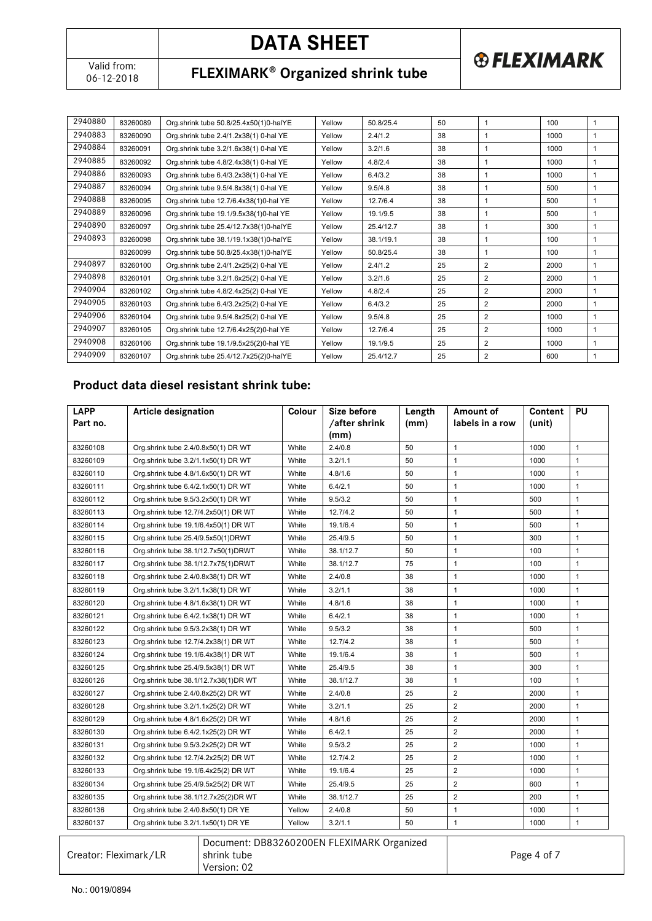**® FLEXIMARK** 

### 06-12-2018 **FLEXIMARK Organized shrink tube**

| 2940880 | 83260089 | Org.shrink tube 50.8/25.4x50(1)0-halYE | Yellow | 50.8/25.4 | 50 | 1              | 100  | 1 |
|---------|----------|----------------------------------------|--------|-----------|----|----------------|------|---|
| 2940883 | 83260090 | Org.shrink tube 2.4/1.2x38(1) 0-hal YE | Yellow | 2.4/1.2   | 38 |                | 1000 | 1 |
| 2940884 | 83260091 | Org.shrink tube 3.2/1.6x38(1) 0-hal YE | Yellow | 3.2/1.6   | 38 |                | 1000 | 1 |
| 2940885 | 83260092 | Org.shrink tube 4.8/2.4x38(1) 0-hal YE | Yellow | 4.8/2.4   | 38 | -1             | 1000 | 1 |
| 2940886 | 83260093 | Org.shrink tube 6.4/3.2x38(1) 0-hal YE | Yellow | 6.4/3.2   | 38 | 1              | 1000 | 1 |
| 2940887 | 83260094 | Org.shrink tube 9.5/4.8x38(1) 0-hal YE | Yellow | 9.5/4.8   | 38 | -1             | 500  | 1 |
| 2940888 | 83260095 | Org.shrink tube 12.7/6.4x38(1)0-hal YE | Yellow | 12.7/6.4  | 38 |                | 500  | 1 |
| 2940889 | 83260096 | Org.shrink tube 19.1/9.5x38(1)0-hal YE | Yellow | 19.1/9.5  | 38 | 1              | 500  | 1 |
| 2940890 | 83260097 | Org.shrink tube 25.4/12.7x38(1)0-halYE | Yellow | 25.4/12.7 | 38 | -1             | 300  | 1 |
| 2940893 | 83260098 | Org.shrink tube 38.1/19.1x38(1)0-halYE | Yellow | 38.1/19.1 | 38 | -1             | 100  | 1 |
|         | 83260099 | Org.shrink tube 50.8/25.4x38(1)0-halYE | Yellow | 50.8/25.4 | 38 |                | 100  | 1 |
| 2940897 | 83260100 | Org.shrink tube 2.4/1.2x25(2) 0-hal YE | Yellow | 2.4/1.2   | 25 | $\overline{2}$ | 2000 | 1 |
| 2940898 | 83260101 | Org.shrink tube 3.2/1.6x25(2) 0-hal YE | Yellow | 3.2/1.6   | 25 | 2              | 2000 | 1 |
| 2940904 | 83260102 | Org.shrink tube 4.8/2.4x25(2) 0-hal YE | Yellow | 4.8/2.4   | 25 | $\overline{2}$ | 2000 | 1 |
| 2940905 | 83260103 | Org.shrink tube 6.4/3.2x25(2) 0-hal YE | Yellow | 6.4/3.2   | 25 | $\overline{2}$ | 2000 | 1 |
| 2940906 | 83260104 | Org.shrink tube 9.5/4.8x25(2) 0-hal YE | Yellow | 9.5/4.8   | 25 | 2              | 1000 | 1 |
| 2940907 | 83260105 | Org.shrink tube 12.7/6.4x25(2)0-hal YE | Yellow | 12.7/6.4  | 25 | $\overline{2}$ | 1000 | 1 |
| 2940908 | 83260106 | Org.shrink tube 19.1/9.5x25(2)0-hal YE | Yellow | 19.1/9.5  | 25 | $\overline{2}$ | 1000 | 1 |
| 2940909 | 83260107 | Org.shrink tube 25.4/12.7x25(2)0-halYE | Yellow | 25.4/12.7 | 25 | $\overline{2}$ | 600  | 1 |

### **Product data diesel resistant shrink tube:**

|          |                                      | Colour | Size before   | Length | Amount of       | Content | PU           |
|----------|--------------------------------------|--------|---------------|--------|-----------------|---------|--------------|
| Part no. |                                      |        | /after shrink | (mm)   | labels in a row | (unit)  |              |
|          |                                      |        | (mm)          |        |                 |         |              |
| 83260108 | Org.shrink tube 2.4/0.8x50(1) DR WT  | White  | 2.4/0.8       | 50     | $\mathbf{1}$    | 1000    | $\mathbf{1}$ |
| 83260109 | Org.shrink tube 3.2/1.1x50(1) DR WT  | White  | 3.2/1.1       | 50     | $\mathbf{1}$    | 1000    | $\mathbf{1}$ |
| 83260110 | Org.shrink tube 4.8/1.6x50(1) DR WT  | White  | 4.8/1.6       | 50     | $\mathbf{1}$    | 1000    | $\mathbf{1}$ |
| 83260111 | Org.shrink tube 6.4/2.1x50(1) DR WT  | White  | 6.4/2.1       | 50     | $\mathbf{1}$    | 1000    | $\mathbf{1}$ |
| 83260112 | Org.shrink tube 9.5/3.2x50(1) DR WT  | White  | 9.5/3.2       | 50     | $\mathbf{1}$    | 500     | $\mathbf{1}$ |
| 83260113 | Org.shrink tube 12.7/4.2x50(1) DR WT | White  | 12.7/4.2      | 50     | $\mathbf{1}$    | 500     | $\mathbf{1}$ |
| 83260114 | Org.shrink tube 19.1/6.4x50(1) DR WT | White  | 19.1/6.4      | 50     | $\mathbf{1}$    | 500     | $\mathbf{1}$ |
| 83260115 | Org.shrink tube 25.4/9.5x50(1)DRWT   | White  | 25.4/9.5      | 50     | $\mathbf{1}$    | 300     | $\mathbf{1}$ |
| 83260116 | Org.shrink tube 38.1/12.7x50(1)DRWT  | White  | 38.1/12.7     | 50     | $\mathbf{1}$    | 100     | $\mathbf{1}$ |
| 83260117 | Org.shrink tube 38.1/12.7x75(1)DRWT  | White  | 38.1/12.7     | 75     | $\mathbf{1}$    | 100     | $\mathbf{1}$ |
| 83260118 | Org.shrink tube 2.4/0.8x38(1) DR WT  | White  | 2.4/0.8       | 38     | $\mathbf{1}$    | 1000    | $\mathbf{1}$ |
| 83260119 | Org.shrink tube 3.2/1.1x38(1) DR WT  | White  | 3.2/1.1       | 38     | $\mathbf{1}$    | 1000    | $\mathbf{1}$ |
| 83260120 | Org.shrink tube 4.8/1.6x38(1) DR WT  | White  | 4.8/1.6       | 38     | $\mathbf{1}$    | 1000    | $\mathbf{1}$ |
| 83260121 | Org.shrink tube 6.4/2.1x38(1) DR WT  | White  | 6.4/2.1       | 38     | $\mathbf{1}$    | 1000    | $\mathbf{1}$ |
| 83260122 | Org.shrink tube 9.5/3.2x38(1) DR WT  | White  | 9.5/3.2       | 38     | $\mathbf{1}$    | 500     | $\mathbf{1}$ |
| 83260123 | Org.shrink tube 12.7/4.2x38(1) DR WT | White  | 12.7/4.2      | 38     | $\mathbf{1}$    | 500     | $\mathbf{1}$ |
| 83260124 | Org.shrink tube 19.1/6.4x38(1) DR WT | White  | 19.1/6.4      | 38     | $\mathbf{1}$    | 500     | $\mathbf{1}$ |
| 83260125 | Org.shrink tube 25.4/9.5x38(1) DR WT | White  | 25.4/9.5      | 38     | $\mathbf{1}$    | 300     | 1            |
| 83260126 | Org.shrink tube 38.1/12.7x38(1)DR WT | White  | 38.1/12.7     | 38     | $\mathbf{1}$    | 100     | $\mathbf{1}$ |
| 83260127 | Org.shrink tube 2.4/0.8x25(2) DR WT  | White  | 2.4/0.8       | 25     | $\overline{2}$  | 2000    | $\mathbf{1}$ |
| 83260128 | Org.shrink tube 3.2/1.1x25(2) DR WT  | White  | 3.2/1.1       | 25     | $\overline{2}$  | 2000    | $\mathbf{1}$ |
| 83260129 | Org.shrink tube 4.8/1.6x25(2) DR WT  | White  | 4.8/1.6       | 25     | $\overline{2}$  | 2000    | $\mathbf{1}$ |
| 83260130 | Org.shrink tube 6.4/2.1x25(2) DR WT  | White  | 6.4/2.1       | 25     | $\overline{2}$  | 2000    | $\mathbf{1}$ |
| 83260131 | Org.shrink tube 9.5/3.2x25(2) DR WT  | White  | 9.5/3.2       | 25     | $\overline{2}$  | 1000    | $\mathbf{1}$ |
| 83260132 | Org.shrink tube 12.7/4.2x25(2) DR WT | White  | 12.7/4.2      | 25     | $\overline{2}$  | 1000    | $\mathbf{1}$ |
| 83260133 | Org.shrink tube 19.1/6.4x25(2) DR WT | White  | 19.1/6.4      | 25     | $\overline{2}$  | 1000    | $\mathbf{1}$ |
| 83260134 | Org.shrink tube 25.4/9.5x25(2) DR WT | White  | 25.4/9.5      | 25     | $\overline{2}$  | 600     | $\mathbf{1}$ |
| 83260135 | Org.shrink tube 38.1/12.7x25(2)DR WT | White  | 38.1/12.7     | 25     | $\overline{2}$  | 200     | $\mathbf{1}$ |
| 83260136 | Org.shrink tube 2.4/0.8x50(1) DR YE  | Yellow | 2.4/0.8       | 50     | $\mathbf{1}$    | 1000    | $\mathbf{1}$ |
| 83260137 | Org.shrink tube 3.2/1.1x50(1) DR YE  | Yellow | 3.2/1.1       | 50     | $\mathbf{1}$    | 1000    | $\mathbf{1}$ |

| Creator: Fleximark/LR | Document: DB83260200EN FLEXIMARK Organized<br>I shrink tube<br>Version: 02 | Page 4 of 7 |
|-----------------------|----------------------------------------------------------------------------|-------------|
|-----------------------|----------------------------------------------------------------------------|-------------|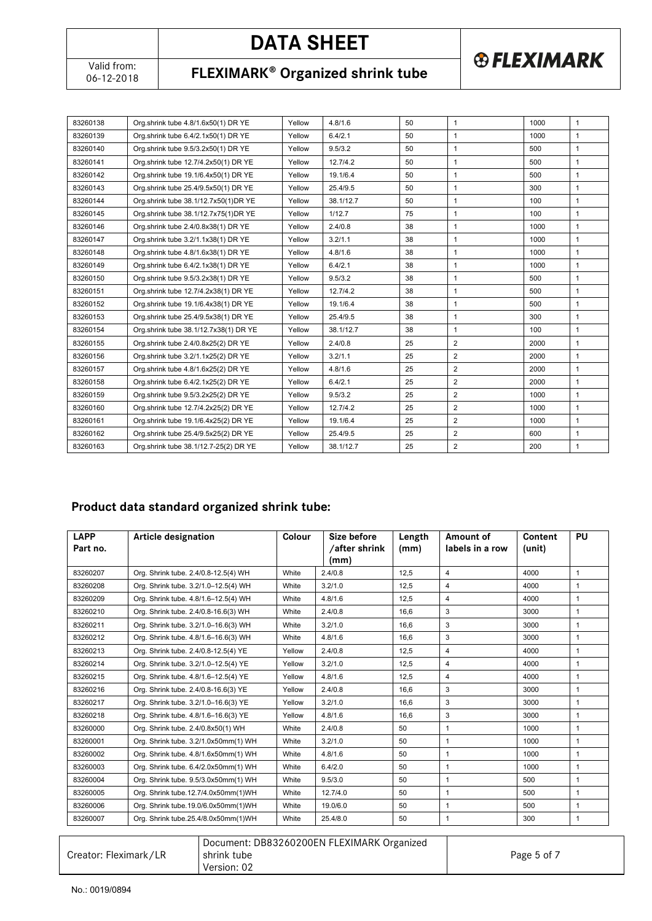06-12-2018 **FLEXIMARK Organized shrink tube**

**® FLEXIMARK** 

| 83260138 | Org.shrink tube 4.8/1.6x50(1) DR YE   | Yellow | 4.8/1.6   | 50 | $\mathbf{1}$   | 1000 | $\mathbf{1}$   |
|----------|---------------------------------------|--------|-----------|----|----------------|------|----------------|
| 83260139 | Org.shrink tube 6.4/2.1x50(1) DR YE   | Yellow | 6.4/2.1   | 50 | 1              | 1000 | $\mathbf{1}$   |
| 83260140 | Org.shrink tube 9.5/3.2x50(1) DR YE   | Yellow | 9.5/3.2   | 50 | $\mathbf{1}$   | 500  | $\mathbf{1}$   |
| 83260141 | Org.shrink tube 12.7/4.2x50(1) DR YE  | Yellow | 12.7/4.2  | 50 | $\mathbf{1}$   | 500  | $\mathbf{1}$   |
| 83260142 | Org.shrink tube 19.1/6.4x50(1) DR YE  | Yellow | 19.1/6.4  | 50 | 1              | 500  | $\mathbf{1}$   |
| 83260143 | Org.shrink tube 25.4/9.5x50(1) DR YE  | Yellow | 25.4/9.5  | 50 | 1              | 300  | $\mathbf{1}$   |
| 83260144 | Org.shrink tube 38.1/12.7x50(1)DR YE  | Yellow | 38.1/12.7 | 50 | 1              | 100  | $\mathbf{1}$   |
| 83260145 | Org.shrink tube 38.1/12.7x75(1)DR YE  | Yellow | 1/12.7    | 75 | $\mathbf{1}$   | 100  | $\mathbf{1}$   |
| 83260146 | Org.shrink tube 2.4/0.8x38(1) DR YE   | Yellow | 2.4/0.8   | 38 | 1              | 1000 | $\mathbf{1}$   |
| 83260147 | Org.shrink tube 3.2/1.1x38(1) DR YE   | Yellow | 3.2/1.1   | 38 | $\mathbf{1}$   | 1000 | $\mathbf{1}$   |
| 83260148 | Org.shrink tube 4.8/1.6x38(1) DR YE   | Yellow | 4.8/1.6   | 38 | 1              | 1000 | $\mathbf{1}$   |
| 83260149 | Org.shrink tube 6.4/2.1x38(1) DR YE   | Yellow | 6.4/2.1   | 38 | $\mathbf{1}$   | 1000 | $\mathbf{1}$   |
| 83260150 | Org.shrink tube 9.5/3.2x38(1) DR YE   | Yellow | 9.5/3.2   | 38 | 1              | 500  | $\mathbf{1}$   |
| 83260151 | Org.shrink tube 12.7/4.2x38(1) DR YE  | Yellow | 12.7/4.2  | 38 | $\mathbf{1}$   | 500  | $\mathbf{1}$   |
| 83260152 | Org.shrink tube 19.1/6.4x38(1) DR YE  | Yellow | 19.1/6.4  | 38 | $\mathbf{1}$   | 500  | $\mathbf{1}$   |
| 83260153 | Org.shrink tube 25.4/9.5x38(1) DR YE  | Yellow | 25.4/9.5  | 38 | 1              | 300  | $\mathbf{1}$   |
| 83260154 | Org.shrink tube 38.1/12.7x38(1) DR YE | Yellow | 38.1/12.7 | 38 | $\mathbf{1}$   | 100  | $\mathbf{1}$   |
| 83260155 | Org.shrink tube 2.4/0.8x25(2) DR YE   | Yellow | 2.4/0.8   | 25 | $\overline{2}$ | 2000 | $\mathbf{1}$   |
| 83260156 | Org.shrink tube 3.2/1.1x25(2) DR YE   | Yellow | 3.2/1.1   | 25 | $\overline{2}$ | 2000 | $\mathbf{1}$   |
| 83260157 | Org.shrink tube 4.8/1.6x25(2) DR YE   | Yellow | 4.8/1.6   | 25 | $\overline{2}$ | 2000 | $\mathbf{1}$   |
| 83260158 | Org.shrink tube 6.4/2.1x25(2) DR YE   | Yellow | 6.4/2.1   | 25 | $\overline{2}$ | 2000 | $\overline{1}$ |
| 83260159 | Org.shrink tube 9.5/3.2x25(2) DR YE   | Yellow | 9.5/3.2   | 25 | $\overline{2}$ | 1000 | $\mathbf{1}$   |
| 83260160 | Org.shrink tube 12.7/4.2x25(2) DR YE  | Yellow | 12.7/4.2  | 25 | $\overline{2}$ | 1000 | $\mathbf{1}$   |
| 83260161 | Org.shrink tube 19.1/6.4x25(2) DR YE  | Yellow | 19.1/6.4  | 25 | $\overline{2}$ | 1000 | $\mathbf{1}$   |
| 83260162 | Org.shrink tube 25.4/9.5x25(2) DR YE  | Yellow | 25.4/9.5  | 25 | 2              | 600  | $\mathbf{1}$   |
| 83260163 | Org.shrink tube 38.1/12.7-25(2) DR YE | Yellow | 38.1/12.7 | 25 | $\overline{2}$ | 200  | $\mathbf{1}$   |

### **Product data standard organized shrink tube:**

| <b>LAPP</b> | Article designation                  | Colour | Size before           | Length | Amount of               | Content | PU           |
|-------------|--------------------------------------|--------|-----------------------|--------|-------------------------|---------|--------------|
| Part no.    |                                      |        | /after shrink<br>(mm) | (mm)   | labels in a row         | (unit)  |              |
| 83260207    | Org. Shrink tube. 2.4/0.8-12.5(4) WH | White  | 2.4/0.8               | 12.5   | $\overline{\mathbf{4}}$ | 4000    | 1            |
| 83260208    | Org. Shrink tube. 3.2/1.0-12.5(4) WH | White  | 3.2/1.0               | 12.5   | $\overline{4}$          | 4000    | $\mathbf{1}$ |
| 83260209    | Org. Shrink tube. 4.8/1.6-12.5(4) WH | White  | 4.8/1.6               | 12.5   | 4                       | 4000    | $\mathbf{1}$ |
| 83260210    | Org. Shrink tube. 2.4/0.8-16.6(3) WH | White  | 2.4/0.8               | 16.6   | 3                       | 3000    | 1            |
| 83260211    | Org. Shrink tube. 3.2/1.0-16.6(3) WH | White  | 3.2/1.0               | 16.6   | 3                       | 3000    | $\mathbf{1}$ |
| 83260212    | Org. Shrink tube. 4.8/1.6-16.6(3) WH | White  | 4.8/1.6               | 16.6   | 3                       | 3000    | $\mathbf{1}$ |
| 83260213    | Org. Shrink tube. 2.4/0.8-12.5(4) YE | Yellow | 2.4/0.8               | 12.5   | 4                       | 4000    | $\mathbf{1}$ |
| 83260214    | Org. Shrink tube. 3.2/1.0-12.5(4) YE | Yellow | 3.2/1.0               | 12.5   | 4                       | 4000    | $\mathbf{1}$ |
| 83260215    | Org. Shrink tube. 4.8/1.6-12.5(4) YE | Yellow | 4.8/1.6               | 12.5   | 4                       | 4000    | $\mathbf{1}$ |
| 83260216    | Org. Shrink tube. 2.4/0.8-16.6(3) YE | Yellow | 2.4/0.8               | 16.6   | 3                       | 3000    | 1            |
| 83260217    | Org. Shrink tube. 3.2/1.0-16.6(3) YE | Yellow | 3.2/1.0               | 16.6   | 3                       | 3000    | $\mathbf{1}$ |
| 83260218    | Org. Shrink tube. 4.8/1.6-16.6(3) YE | Yellow | 4.8/1.6               | 16.6   | 3                       | 3000    | $\mathbf{1}$ |
| 83260000    | Org. Shrink tube. 2.4/0.8x50(1) WH   | White  | 2.4/0.8               | 50     | $\mathbf{1}$            | 1000    | $\mathbf{1}$ |
| 83260001    | Org. Shrink tube. 3.2/1.0x50mm(1) WH | White  | 3.2/1.0               | 50     | $\mathbf{1}$            | 1000    | $\mathbf{1}$ |
| 83260002    | Org. Shrink tube. 4.8/1.6x50mm(1) WH | White  | 4.8/1.6               | 50     | $\mathbf{1}$            | 1000    | $\mathbf{1}$ |
| 83260003    | Org. Shrink tube. 6.4/2.0x50mm(1) WH | White  | 6.4/2.0               | 50     | $\mathbf{1}$            | 1000    | $\mathbf{1}$ |
| 83260004    | Org. Shrink tube. 9.5/3.0x50mm(1) WH | White  | 9.5/3.0               | 50     | 1                       | 500     | $\mathbf{1}$ |
| 83260005    | Org. Shrink tube.12.7/4.0x50mm(1)WH  | White  | 12.7/4.0              | 50     | $\mathbf{1}$            | 500     | $\mathbf{1}$ |
| 83260006    | Org. Shrink tube.19.0/6.0x50mm(1)WH  | White  | 19.0/6.0              | 50     | 1                       | 500     | 1            |
| 83260007    | Org. Shrink tube.25.4/8.0x50mm(1)WH  | White  | 25.4/8.0              | 50     | $\mathbf{1}$            | 300     | $\mathbf{1}$ |

| Creator: Fleximark/LR | Document: DB83260200EN FLEXIMARK Organized<br>shrink tube<br>Version: 02 | Page 5 of 7 |
|-----------------------|--------------------------------------------------------------------------|-------------|
|-----------------------|--------------------------------------------------------------------------|-------------|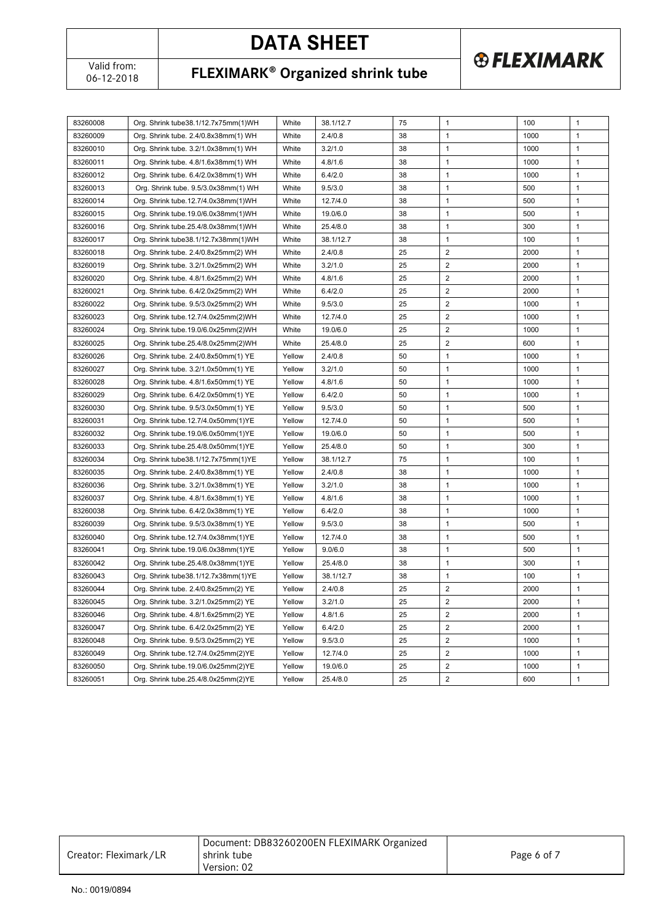06-12-2018 **FLEXIMARK Organized shrink tube**

**® FLEXIMARK** 

| 83260008 | Org. Shrink tube38.1/12.7x75mm(1)WH   | White  | 38.1/12.7 | 75 | 1                       | 100  | $\mathbf{1}$ |
|----------|---------------------------------------|--------|-----------|----|-------------------------|------|--------------|
| 83260009 | Org. Shrink tube. 2.4/0.8x38mm(1) WH  | White  | 2.4/0.8   | 38 | 1                       | 1000 | $\mathbf{1}$ |
| 83260010 | Org. Shrink tube. 3.2/1.0x38mm(1) WH  | White  | 3.2/1.0   | 38 | 1                       | 1000 | $\mathbf{1}$ |
| 83260011 | Org. Shrink tube. 4.8/1.6x38mm(1) WH  | White  | 4.8/1.6   | 38 | 1                       | 1000 | $\mathbf{1}$ |
| 83260012 | Org. Shrink tube. 6.4/2.0x38mm(1) WH  | White  | 6.4/2.0   | 38 | 1                       | 1000 | $\mathbf{1}$ |
| 83260013 | Org. Shrink tube. 9.5/3.0x38mm(1) WH  | White  | 9.5/3.0   | 38 | 1                       | 500  | $\mathbf{1}$ |
| 83260014 | Org. Shrink tube.12.7/4.0x38mm(1)WH   | White  | 12.7/4.0  | 38 | 1                       | 500  | $\mathbf{1}$ |
| 83260015 | Org. Shrink tube.19.0/6.0x38mm(1)WH   | White  | 19.0/6.0  | 38 | 1                       | 500  | $\mathbf{1}$ |
| 83260016 | Org. Shrink tube.25.4/8.0x38mm(1)WH   | White  | 25.4/8.0  | 38 | 1                       | 300  | 1            |
| 83260017 | Org. Shrink tube38.1/12.7x38mm(1)WH   | White  | 38.1/12.7 | 38 | 1                       | 100  | $\mathbf{1}$ |
| 83260018 | Org. Shrink tube. 2.4/0.8x25mm(2) WH  | White  | 2.4/0.8   | 25 | 2                       | 2000 | 1            |
| 83260019 | Org. Shrink tube. 3.2/1.0x25mm(2) WH  | White  | 3.2/1.0   | 25 | 2                       | 2000 | 1            |
| 83260020 | Org. Shrink tube. 4.8/1.6x25mm(2) WH  | White  | 4.8/1.6   | 25 | 2                       | 2000 | $\mathbf{1}$ |
| 83260021 | Org. Shrink tube. 6.4/2.0x25mm(2) WH  | White  | 6.4/2.0   | 25 | $\overline{2}$          | 2000 | $\mathbf{1}$ |
| 83260022 | Org. Shrink tube. 9.5/3.0x25mm(2) WH  | White  | 9.5/3.0   | 25 | $\overline{2}$          | 1000 | $\mathbf{1}$ |
| 83260023 | Org. Shrink tube.12.7/4.0x25mm(2)WH   | White  | 12.7/4.0  | 25 | $\overline{2}$          | 1000 | $\mathbf{1}$ |
| 83260024 | Org. Shrink tube.19.0/6.0x25mm(2)WH   | White  | 19.0/6.0  | 25 | $\overline{2}$          | 1000 | $\mathbf{1}$ |
| 83260025 | Org. Shrink tube.25.4/8.0x25mm(2)WH   | White  | 25.4/8.0  | 25 | $\overline{2}$          | 600  | $\mathbf{1}$ |
| 83260026 | Org. Shrink tube. 2.4/0.8x50mm(1) YE  | Yellow | 2.4/0.8   | 50 | 1                       | 1000 | $\mathbf{1}$ |
| 83260027 | Org. Shrink tube. 3.2/1.0x50mm(1) YE  | Yellow | 3.2/1.0   | 50 | 1                       | 1000 | $\mathbf{1}$ |
| 83260028 | Org. Shrink tube. 4.8/1.6x50mm(1) YE  | Yellow | 4.8/1.6   | 50 | 1                       | 1000 | $\mathbf{1}$ |
| 83260029 | Org. Shrink tube. 6.4/2.0x50mm(1) YE  | Yellow | 6.4/2.0   | 50 | $\mathbf{1}$            | 1000 | $\mathbf{1}$ |
| 83260030 | Org. Shrink tube. 9.5/3.0x50mm(1) YE  | Yellow | 9.5/3.0   | 50 | 1                       | 500  | $\mathbf{1}$ |
| 83260031 | Org. Shrink tube.12.7/4.0x50mm(1)YE   | Yellow | 12.7/4.0  | 50 | 1                       | 500  | $\mathbf{1}$ |
| 83260032 | Org. Shrink tube.19.0/6.0x50mm(1)YE   | Yellow | 19.0/6.0  | 50 | 1                       | 500  | $\mathbf{1}$ |
| 83260033 | Org. Shrink tube.25.4/8.0x50mm(1)YE   | Yellow | 25.4/8.0  | 50 | 1                       | 300  | $\mathbf{1}$ |
| 83260034 | Org. Shrink tube 38.1/12.7x75mm(1) YE | Yellow | 38.1/12.7 | 75 | 1                       | 100  | $\mathbf{1}$ |
| 83260035 | Org. Shrink tube. 2.4/0.8x38mm(1) YE  | Yellow | 2.4/0.8   | 38 | 1                       | 1000 | $\mathbf{1}$ |
| 83260036 | Org. Shrink tube. 3.2/1.0x38mm(1) YE  | Yellow | 3.2/1.0   | 38 | 1                       | 1000 | 1            |
| 83260037 | Org. Shrink tube. 4.8/1.6x38mm(1) YE  | Yellow | 4.8/1.6   | 38 | 1                       | 1000 | 1            |
| 83260038 | Org. Shrink tube. 6.4/2.0x38mm(1) YE  | Yellow | 6.4/2.0   | 38 | 1                       | 1000 | $\mathbf{1}$ |
| 83260039 | Org. Shrink tube. 9.5/3.0x38mm(1) YE  | Yellow | 9.5/3.0   | 38 | $\mathbf{1}$            | 500  | $\mathbf{1}$ |
| 83260040 | Org. Shrink tube.12.7/4.0x38mm(1)YE   | Yellow | 12.7/4.0  | 38 | 1                       | 500  | $\mathbf{1}$ |
| 83260041 | Org. Shrink tube.19.0/6.0x38mm(1)YE   | Yellow | 9.0/6.0   | 38 | 1                       | 500  | 1            |
| 83260042 | Org. Shrink tube.25.4/8.0x38mm(1)YE   | Yellow | 25.4/8.0  | 38 | 1                       | 300  | 1            |
| 83260043 | Org. Shrink tube 38.1/12.7x38mm(1) YE | Yellow | 38.1/12.7 | 38 | 1                       | 100  | $\mathbf{1}$ |
| 83260044 | Org. Shrink tube. 2.4/0.8x25mm(2) YE  | Yellow | 2.4/0.8   | 25 | 2                       | 2000 | 1            |
| 83260045 | Org. Shrink tube. 3.2/1.0x25mm(2) YE  | Yellow | 3.2/1.0   | 25 | 2                       | 2000 | 1            |
| 83260046 | Org. Shrink tube. 4.8/1.6x25mm(2) YE  | Yellow | 4.8/1.6   | 25 | 2                       | 2000 | 1            |
| 83260047 | Org. Shrink tube. 6.4/2.0x25mm(2) YE  | Yellow | 6.4/2.0   | 25 | 2                       | 2000 | 1            |
| 83260048 | Org. Shrink tube. 9.5/3.0x25mm(2) YE  | Yellow | 9.5/3.0   | 25 | $\overline{\mathbf{c}}$ | 1000 | 1            |
| 83260049 | Org. Shrink tube.12.7/4.0x25mm(2)YE   | Yellow | 12.7/4.0  | 25 | 2                       | 1000 | 1            |
| 83260050 | Org. Shrink tube.19.0/6.0x25mm(2)YE   | Yellow | 19.0/6.0  | 25 | 2                       | 1000 | 1            |
| 83260051 | Org. Shrink tube.25.4/8.0x25mm(2)YE   | Yellow | 25.4/8.0  | 25 | $\overline{\mathbf{c}}$ | 600  | 1            |
|          |                                       |        |           |    |                         |      |              |

| Document: DB83260200EN FLEXIMARK Organized<br>Creator: Fleximark/LR<br>Page 6 of 7<br>l shrink tube<br>Version: 02 |  |
|--------------------------------------------------------------------------------------------------------------------|--|
|--------------------------------------------------------------------------------------------------------------------|--|